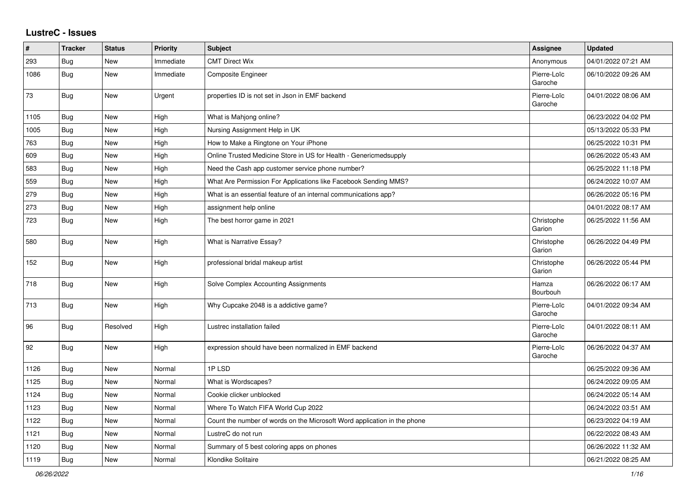## **LustreC - Issues**

| #    | <b>Tracker</b> | <b>Status</b> | <b>Priority</b> | <b>Subject</b>                                                           | Assignee               | <b>Updated</b>      |
|------|----------------|---------------|-----------------|--------------------------------------------------------------------------|------------------------|---------------------|
| 293  | Bug            | New           | Immediate       | <b>CMT Direct Wix</b>                                                    | Anonymous              | 04/01/2022 07:21 AM |
| 1086 | Bug            | <b>New</b>    | Immediate       | <b>Composite Engineer</b>                                                | Pierre-Loïc<br>Garoche | 06/10/2022 09:26 AM |
| 73   | <b>Bug</b>     | New           | Urgent          | properties ID is not set in Json in EMF backend                          | Pierre-Loïc<br>Garoche | 04/01/2022 08:06 AM |
| 1105 | Bug            | <b>New</b>    | High            | What is Mahjong online?                                                  |                        | 06/23/2022 04:02 PM |
| 1005 | Bug            | <b>New</b>    | High            | Nursing Assignment Help in UK                                            |                        | 05/13/2022 05:33 PM |
| 763  | Bug            | <b>New</b>    | High            | How to Make a Ringtone on Your iPhone                                    |                        | 06/25/2022 10:31 PM |
| 609  | Bug            | New           | High            | Online Trusted Medicine Store in US for Health - Genericmedsupply        |                        | 06/26/2022 05:43 AM |
| 583  | Bug            | New           | High            | Need the Cash app customer service phone number?                         |                        | 06/25/2022 11:18 PM |
| 559  | Bug            | New           | High            | What Are Permission For Applications like Facebook Sending MMS?          |                        | 06/24/2022 10:07 AM |
| 279  | Bug            | <b>New</b>    | High            | What is an essential feature of an internal communications app?          |                        | 06/26/2022 05:16 PM |
| 273  | <b>Bug</b>     | <b>New</b>    | High            | assignment help online                                                   |                        | 04/01/2022 08:17 AM |
| 723  | <b>Bug</b>     | <b>New</b>    | High            | The best horror game in 2021                                             | Christophe<br>Garion   | 06/25/2022 11:56 AM |
| 580  | Bug            | New           | High            | <b>What is Narrative Essay?</b>                                          | Christophe<br>Garion   | 06/26/2022 04:49 PM |
| 152  | <b>Bug</b>     | <b>New</b>    | High            | professional bridal makeup artist                                        | Christophe<br>Garion   | 06/26/2022 05:44 PM |
| 718  | Bug            | New           | High            | Solve Complex Accounting Assignments                                     | Hamza<br>Bourbouh      | 06/26/2022 06:17 AM |
| 713  | <b>Bug</b>     | <b>New</b>    | High            | Why Cupcake 2048 is a addictive game?                                    | Pierre-Loïc<br>Garoche | 04/01/2022 09:34 AM |
| 96   | Bug            | Resolved      | High            | Lustrec installation failed                                              | Pierre-Loïc<br>Garoche | 04/01/2022 08:11 AM |
| 92   | Bug            | <b>New</b>    | High            | expression should have been normalized in EMF backend                    | Pierre-Loïc<br>Garoche | 06/26/2022 04:37 AM |
| 1126 | Bug            | New           | Normal          | 1PLSD                                                                    |                        | 06/25/2022 09:36 AM |
| 1125 | Bug            | New           | Normal          | What is Wordscapes?                                                      |                        | 06/24/2022 09:05 AM |
| 1124 | Bug            | New           | Normal          | Cookie clicker unblocked                                                 |                        | 06/24/2022 05:14 AM |
| 1123 | Bug            | New           | Normal          | Where To Watch FIFA World Cup 2022                                       |                        | 06/24/2022 03:51 AM |
| 1122 | Bug            | <b>New</b>    | Normal          | Count the number of words on the Microsoft Word application in the phone |                        | 06/23/2022 04:19 AM |
| 1121 | Bug            | New           | Normal          | LustreC do not run                                                       |                        | 06/22/2022 08:43 AM |
| 1120 | Bug            | New           | Normal          | Summary of 5 best coloring apps on phones                                |                        | 06/26/2022 11:32 AM |
| 1119 | Bug            | New           | Normal          | Klondike Solitaire                                                       |                        | 06/21/2022 08:25 AM |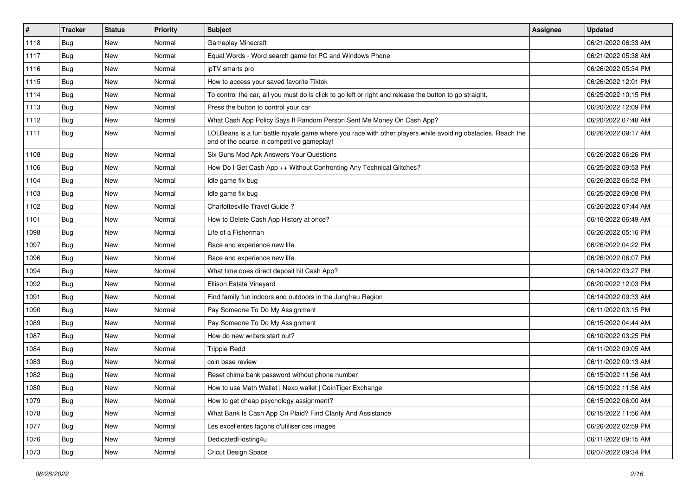| $\sharp$ | Tracker    | <b>Status</b> | <b>Priority</b> | <b>Subject</b>                                                                                                                                           | <b>Assignee</b> | <b>Updated</b>      |
|----------|------------|---------------|-----------------|----------------------------------------------------------------------------------------------------------------------------------------------------------|-----------------|---------------------|
| 1118     | Bug        | New           | Normal          | <b>Gameplay Minecraft</b>                                                                                                                                |                 | 06/21/2022 06:33 AM |
| 1117     | Bug        | New           | Normal          | Equal Words - Word search game for PC and Windows Phone                                                                                                  |                 | 06/21/2022 05:38 AM |
| 1116     | Bug        | New           | Normal          | ipTV smarts pro                                                                                                                                          |                 | 06/26/2022 05:34 PM |
| 1115     | <b>Bug</b> | New           | Normal          | How to access your saved favorite Tiktok                                                                                                                 |                 | 06/26/2022 12:01 PM |
| 1114     | Bug        | New           | Normal          | To control the car, all you must do is click to go left or right and release the button to go straight.                                                  |                 | 06/25/2022 10:15 PM |
| 1113     | Bug        | New           | Normal          | Press the button to control your car                                                                                                                     |                 | 06/20/2022 12:09 PM |
| 1112     | Bug        | New           | Normal          | What Cash App Policy Says If Random Person Sent Me Money On Cash App?                                                                                    |                 | 06/20/2022 07:48 AM |
| 1111     | Bug        | New           | Normal          | LOLBeans is a fun battle royale game where you race with other players while avoiding obstacles. Reach the<br>end of the course in competitive gameplay! |                 | 06/26/2022 09:17 AM |
| 1108     | Bug        | <b>New</b>    | Normal          | Six Guns Mod Apk Answers Your Questions                                                                                                                  |                 | 06/26/2022 06:26 PM |
| 1106     | Bug        | New           | Normal          | How Do I Get Cash App ++ Without Confronting Any Technical Glitches?                                                                                     |                 | 06/25/2022 09:53 PM |
| 1104     | Bug        | New           | Normal          | Idle game fix bug                                                                                                                                        |                 | 06/26/2022 06:52 PM |
| 1103     | Bug        | New           | Normal          | Idle game fix bug                                                                                                                                        |                 | 06/25/2022 09:08 PM |
| 1102     | Bug        | New           | Normal          | Charlottesville Travel Guide?                                                                                                                            |                 | 06/26/2022 07:44 AM |
| 1101     | Bug        | New           | Normal          | How to Delete Cash App History at once?                                                                                                                  |                 | 06/16/2022 06:49 AM |
| 1098     | Bug        | New           | Normal          | Life of a Fisherman                                                                                                                                      |                 | 06/26/2022 05:16 PM |
| 1097     | Bug        | New           | Normal          | Race and experience new life.                                                                                                                            |                 | 06/26/2022 04:22 PM |
| 1096     | Bug        | New           | Normal          | Race and experience new life.                                                                                                                            |                 | 06/26/2022 06:07 PM |
| 1094     | <b>Bug</b> | New           | Normal          | What time does direct deposit hit Cash App?                                                                                                              |                 | 06/14/2022 03:27 PM |
| 1092     | <b>Bug</b> | New           | Normal          | Ellison Estate Vineyard                                                                                                                                  |                 | 06/20/2022 12:03 PM |
| 1091     | Bug        | New           | Normal          | Find family fun indoors and outdoors in the Jungfrau Region                                                                                              |                 | 06/14/2022 09:33 AM |
| 1090     | <b>Bug</b> | New           | Normal          | Pay Someone To Do My Assignment                                                                                                                          |                 | 06/11/2022 03:15 PM |
| 1089     | Bug        | <b>New</b>    | Normal          | Pay Someone To Do My Assignment                                                                                                                          |                 | 06/15/2022 04:44 AM |
| 1087     | <b>Bug</b> | New           | Normal          | How do new writers start out?                                                                                                                            |                 | 06/10/2022 03:25 PM |
| 1084     | Bug        | New           | Normal          | <b>Trippie Redd</b>                                                                                                                                      |                 | 06/11/2022 09:05 AM |
| 1083     | Bug        | New           | Normal          | coin base review                                                                                                                                         |                 | 06/11/2022 09:13 AM |
| 1082     | Bug        | New           | Normal          | Reset chime bank password without phone number                                                                                                           |                 | 06/15/2022 11:56 AM |
| 1080     | <b>Bug</b> | New           | Normal          | How to use Math Wallet   Nexo wallet   CoinTiger Exchange                                                                                                |                 | 06/15/2022 11:56 AM |
| 1079     | Bug        | New           | Normal          | How to get cheap psychology assignment?                                                                                                                  |                 | 06/15/2022 06:00 AM |
| 1078     | Bug        | New           | Normal          | What Bank Is Cash App On Plaid? Find Clarity And Assistance                                                                                              |                 | 06/15/2022 11:56 AM |
| 1077     | <b>Bug</b> | New           | Normal          | Les excellentes façons d'utiliser ces images                                                                                                             |                 | 06/26/2022 02:59 PM |
| 1076     | <b>Bug</b> | New           | Normal          | DedicatedHosting4u                                                                                                                                       |                 | 06/11/2022 09:15 AM |
| 1073     | <b>Bug</b> | New           | Normal          | Cricut Design Space                                                                                                                                      |                 | 06/07/2022 09:34 PM |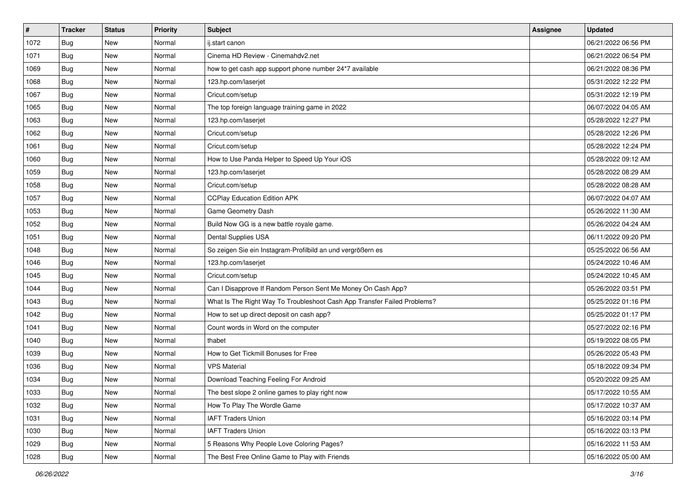| #    | <b>Tracker</b> | <b>Status</b> | <b>Priority</b> | Subject                                                                  | <b>Assignee</b> | <b>Updated</b>      |
|------|----------------|---------------|-----------------|--------------------------------------------------------------------------|-----------------|---------------------|
| 1072 | <b>Bug</b>     | New           | Normal          | ij.start canon                                                           |                 | 06/21/2022 06:56 PM |
| 1071 | Bug            | <b>New</b>    | Normal          | Cinema HD Review - Cinemahdy2.net                                        |                 | 06/21/2022 06:54 PM |
| 1069 | Bug            | New           | Normal          | how to get cash app support phone number 24*7 available                  |                 | 06/21/2022 08:36 PM |
| 1068 | <b>Bug</b>     | New           | Normal          | 123.hp.com/laserjet                                                      |                 | 05/31/2022 12:22 PM |
| 1067 | Bug            | New           | Normal          | Cricut.com/setup                                                         |                 | 05/31/2022 12:19 PM |
| 1065 | <b>Bug</b>     | New           | Normal          | The top foreign language training game in 2022                           |                 | 06/07/2022 04:05 AM |
| 1063 | Bug            | New           | Normal          | 123.hp.com/laserjet                                                      |                 | 05/28/2022 12:27 PM |
| 1062 | Bug            | New           | Normal          | Cricut.com/setup                                                         |                 | 05/28/2022 12:26 PM |
| 1061 | <b>Bug</b>     | New           | Normal          | Cricut.com/setup                                                         |                 | 05/28/2022 12:24 PM |
| 1060 | <b>Bug</b>     | <b>New</b>    | Normal          | How to Use Panda Helper to Speed Up Your iOS                             |                 | 05/28/2022 09:12 AM |
| 1059 | Bug            | New           | Normal          | 123.hp.com/laserjet                                                      |                 | 05/28/2022 08:29 AM |
| 1058 | Bug            | New           | Normal          | Cricut.com/setup                                                         |                 | 05/28/2022 08:28 AM |
| 1057 | Bug            | <b>New</b>    | Normal          | <b>CCPlay Education Edition APK</b>                                      |                 | 06/07/2022 04:07 AM |
| 1053 | Bug            | New           | Normal          | Game Geometry Dash                                                       |                 | 05/26/2022 11:30 AM |
| 1052 | Bug            | New           | Normal          | Build Now GG is a new battle royale game.                                |                 | 05/26/2022 04:24 AM |
| 1051 | Bug            | New           | Normal          | Dental Supplies USA                                                      |                 | 06/11/2022 09:20 PM |
| 1048 | <b>Bug</b>     | New           | Normal          | So zeigen Sie ein Instagram-Profilbild an und vergrößern es              |                 | 05/25/2022 06:56 AM |
| 1046 | Bug            | <b>New</b>    | Normal          | 123.hp.com/laserjet                                                      |                 | 05/24/2022 10:46 AM |
| 1045 | Bug            | New           | Normal          | Cricut.com/setup                                                         |                 | 05/24/2022 10:45 AM |
| 1044 | <b>Bug</b>     | <b>New</b>    | Normal          | Can I Disapprove If Random Person Sent Me Money On Cash App?             |                 | 05/26/2022 03:51 PM |
| 1043 | <b>Bug</b>     | New           | Normal          | What Is The Right Way To Troubleshoot Cash App Transfer Failed Problems? |                 | 05/25/2022 01:16 PM |
| 1042 | Bug            | New           | Normal          | How to set up direct deposit on cash app?                                |                 | 05/25/2022 01:17 PM |
| 1041 | Bug            | New           | Normal          | Count words in Word on the computer                                      |                 | 05/27/2022 02:16 PM |
| 1040 | Bug            | New           | Normal          | thabet                                                                   |                 | 05/19/2022 08:05 PM |
| 1039 | Bug            | New           | Normal          | How to Get Tickmill Bonuses for Free                                     |                 | 05/26/2022 05:43 PM |
| 1036 | <b>Bug</b>     | New           | Normal          | <b>VPS Material</b>                                                      |                 | 05/18/2022 09:34 PM |
| 1034 | <b>Bug</b>     | New           | Normal          | Download Teaching Feeling For Android                                    |                 | 05/20/2022 09:25 AM |
| 1033 | Bug            | New           | Normal          | The best slope 2 online games to play right now                          |                 | 05/17/2022 10:55 AM |
| 1032 | <b>Bug</b>     | New           | Normal          | How To Play The Wordle Game                                              |                 | 05/17/2022 10:37 AM |
| 1031 | Bug            | New           | Normal          | <b>IAFT Traders Union</b>                                                |                 | 05/16/2022 03:14 PM |
| 1030 | Bug            | New           | Normal          | <b>IAFT Traders Union</b>                                                |                 | 05/16/2022 03:13 PM |
| 1029 | Bug            | New           | Normal          | 5 Reasons Why People Love Coloring Pages?                                |                 | 05/16/2022 11:53 AM |
| 1028 | <b>Bug</b>     | New           | Normal          | The Best Free Online Game to Play with Friends                           |                 | 05/16/2022 05:00 AM |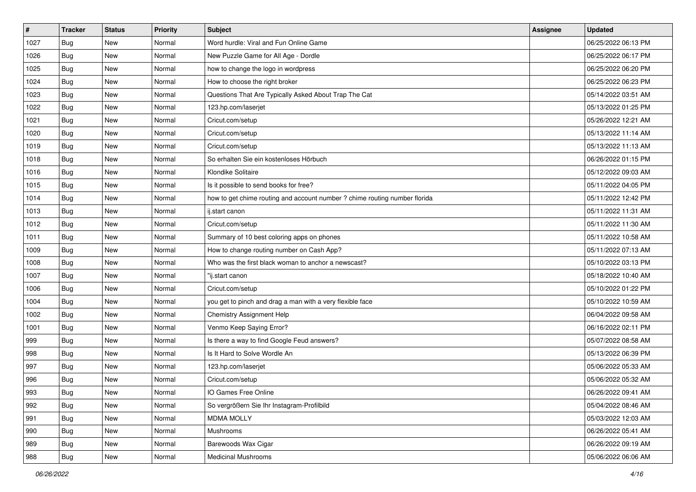| $\vert$ # | <b>Tracker</b> | <b>Status</b> | <b>Priority</b> | <b>Subject</b>                                                             | <b>Assignee</b> | <b>Updated</b>      |
|-----------|----------------|---------------|-----------------|----------------------------------------------------------------------------|-----------------|---------------------|
| 1027      | Bug            | New           | Normal          | Word hurdle: Viral and Fun Online Game                                     |                 | 06/25/2022 06:13 PM |
| 1026      | Bug            | New           | Normal          | New Puzzle Game for All Age - Dordle                                       |                 | 06/25/2022 06:17 PM |
| 1025      | Bug            | New           | Normal          | how to change the logo in wordpress                                        |                 | 06/25/2022 06:20 PM |
| 1024      | <b>Bug</b>     | New           | Normal          | How to choose the right broker                                             |                 | 06/25/2022 06:23 PM |
| 1023      | Bug            | New           | Normal          | Questions That Are Typically Asked About Trap The Cat                      |                 | 05/14/2022 03:51 AM |
| 1022      | <b>Bug</b>     | New           | Normal          | 123.hp.com/laserjet                                                        |                 | 05/13/2022 01:25 PM |
| 1021      | <b>Bug</b>     | New           | Normal          | Cricut.com/setup                                                           |                 | 05/26/2022 12:21 AM |
| 1020      | <b>Bug</b>     | New           | Normal          | Cricut.com/setup                                                           |                 | 05/13/2022 11:14 AM |
| 1019      | <b>Bug</b>     | New           | Normal          | Cricut.com/setup                                                           |                 | 05/13/2022 11:13 AM |
| 1018      | Bug            | <b>New</b>    | Normal          | So erhalten Sie ein kostenloses Hörbuch                                    |                 | 06/26/2022 01:15 PM |
| 1016      | Bug            | New           | Normal          | Klondike Solitaire                                                         |                 | 05/12/2022 09:03 AM |
| 1015      | Bug            | New           | Normal          | Is it possible to send books for free?                                     |                 | 05/11/2022 04:05 PM |
| 1014      | <b>Bug</b>     | New           | Normal          | how to get chime routing and account number ? chime routing number florida |                 | 05/11/2022 12:42 PM |
| 1013      | Bug            | <b>New</b>    | Normal          | ij.start canon                                                             |                 | 05/11/2022 11:31 AM |
| 1012      | Bug            | New           | Normal          | Cricut.com/setup                                                           |                 | 05/11/2022 11:30 AM |
| 1011      | <b>Bug</b>     | New           | Normal          | Summary of 10 best coloring apps on phones                                 |                 | 05/11/2022 10:58 AM |
| 1009      | <b>Bug</b>     | New           | Normal          | How to change routing number on Cash App?                                  |                 | 05/11/2022 07:13 AM |
| 1008      | Bug            | New           | Normal          | Who was the first black woman to anchor a newscast?                        |                 | 05/10/2022 03:13 PM |
| 1007      | Bug            | New           | Normal          | "ij.start canon                                                            |                 | 05/18/2022 10:40 AM |
| 1006      | <b>Bug</b>     | New           | Normal          | Cricut.com/setup                                                           |                 | 05/10/2022 01:22 PM |
| 1004      | Bug            | New           | Normal          | you get to pinch and drag a man with a very flexible face                  |                 | 05/10/2022 10:59 AM |
| 1002      | <b>Bug</b>     | New           | Normal          | <b>Chemistry Assignment Help</b>                                           |                 | 06/04/2022 09:58 AM |
| 1001      | Bug            | New           | Normal          | Venmo Keep Saying Error?                                                   |                 | 06/16/2022 02:11 PM |
| 999       | <b>Bug</b>     | New           | Normal          | Is there a way to find Google Feud answers?                                |                 | 05/07/2022 08:58 AM |
| 998       | <b>Bug</b>     | New           | Normal          | Is It Hard to Solve Wordle An                                              |                 | 05/13/2022 06:39 PM |
| 997       | Bug            | New           | Normal          | 123.hp.com/laserjet                                                        |                 | 05/06/2022 05:33 AM |
| 996       | <b>Bug</b>     | New           | Normal          | Cricut.com/setup                                                           |                 | 05/06/2022 05:32 AM |
| 993       | I Bug          | New           | Normal          | IO Games Free Online                                                       |                 | 06/26/2022 09:41 AM |
| 992       | Bug            | New           | Normal          | So vergrößern Sie Ihr Instagram-Profilbild                                 |                 | 05/04/2022 08:46 AM |
| 991       | Bug            | New           | Normal          | <b>MDMA MOLLY</b>                                                          |                 | 05/03/2022 12:03 AM |
| 990       | Bug            | New           | Normal          | Mushrooms                                                                  |                 | 06/26/2022 05:41 AM |
| 989       | Bug            | New           | Normal          | Barewoods Wax Cigar                                                        |                 | 06/26/2022 09:19 AM |
| 988       | <b>Bug</b>     | New           | Normal          | <b>Medicinal Mushrooms</b>                                                 |                 | 05/06/2022 06:06 AM |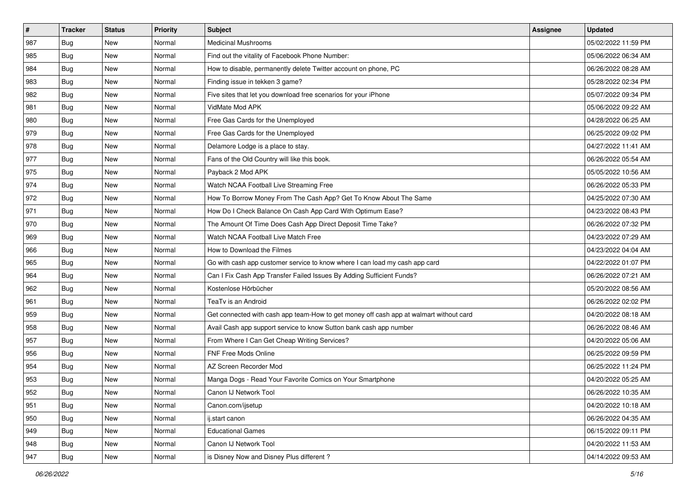| $\vert$ # | <b>Tracker</b> | <b>Status</b> | <b>Priority</b> | <b>Subject</b>                                                                         | <b>Assignee</b> | <b>Updated</b>      |
|-----------|----------------|---------------|-----------------|----------------------------------------------------------------------------------------|-----------------|---------------------|
| 987       | Bug            | New           | Normal          | <b>Medicinal Mushrooms</b>                                                             |                 | 05/02/2022 11:59 PM |
| 985       | Bug            | <b>New</b>    | Normal          | Find out the vitality of Facebook Phone Number:                                        |                 | 05/06/2022 06:34 AM |
| 984       | <b>Bug</b>     | New           | Normal          | How to disable, permanently delete Twitter account on phone, PC                        |                 | 06/26/2022 08:28 AM |
| 983       | <b>Bug</b>     | New           | Normal          | Finding issue in tekken 3 game?                                                        |                 | 05/28/2022 02:34 PM |
| 982       | <b>Bug</b>     | <b>New</b>    | Normal          | Five sites that let you download free scenarios for your iPhone                        |                 | 05/07/2022 09:34 PM |
| 981       | <b>Bug</b>     | New           | Normal          | VidMate Mod APK                                                                        |                 | 05/06/2022 09:22 AM |
| 980       | <b>Bug</b>     | New           | Normal          | Free Gas Cards for the Unemployed                                                      |                 | 04/28/2022 06:25 AM |
| 979       | <b>Bug</b>     | New           | Normal          | Free Gas Cards for the Unemployed                                                      |                 | 06/25/2022 09:02 PM |
| 978       | <b>Bug</b>     | New           | Normal          | Delamore Lodge is a place to stay.                                                     |                 | 04/27/2022 11:41 AM |
| 977       | <b>Bug</b>     | New           | Normal          | Fans of the Old Country will like this book.                                           |                 | 06/26/2022 05:54 AM |
| 975       | Bug            | New           | Normal          | Payback 2 Mod APK                                                                      |                 | 05/05/2022 10:56 AM |
| 974       | Bug            | New           | Normal          | Watch NCAA Football Live Streaming Free                                                |                 | 06/26/2022 05:33 PM |
| 972       | Bug            | New           | Normal          | How To Borrow Money From The Cash App? Get To Know About The Same                      |                 | 04/25/2022 07:30 AM |
| 971       | <b>Bug</b>     | New           | Normal          | How Do I Check Balance On Cash App Card With Optimum Ease?                             |                 | 04/23/2022 08:43 PM |
| 970       | <b>Bug</b>     | New           | Normal          | The Amount Of Time Does Cash App Direct Deposit Time Take?                             |                 | 06/26/2022 07:32 PM |
| 969       | Bug            | New           | Normal          | Watch NCAA Football Live Match Free                                                    |                 | 04/23/2022 07:29 AM |
| 966       | <b>Bug</b>     | New           | Normal          | How to Download the Filmes                                                             |                 | 04/23/2022 04:04 AM |
| 965       | Bug            | New           | Normal          | Go with cash app customer service to know where I can load my cash app card            |                 | 04/22/2022 01:07 PM |
| 964       | Bug            | New           | Normal          | Can I Fix Cash App Transfer Failed Issues By Adding Sufficient Funds?                  |                 | 06/26/2022 07:21 AM |
| 962       | <b>Bug</b>     | <b>New</b>    | Normal          | Kostenlose Hörbücher                                                                   |                 | 05/20/2022 08:56 AM |
| 961       | <b>Bug</b>     | New           | Normal          | TeaTv is an Android                                                                    |                 | 06/26/2022 02:02 PM |
| 959       | <b>Bug</b>     | New           | Normal          | Get connected with cash app team-How to get money off cash app at walmart without card |                 | 04/20/2022 08:18 AM |
| 958       | Bug            | <b>New</b>    | Normal          | Avail Cash app support service to know Sutton bank cash app number                     |                 | 06/26/2022 08:46 AM |
| 957       | <b>Bug</b>     | New           | Normal          | From Where I Can Get Cheap Writing Services?                                           |                 | 04/20/2022 05:06 AM |
| 956       | Bug            | New           | Normal          | <b>FNF Free Mods Online</b>                                                            |                 | 06/25/2022 09:59 PM |
| 954       | <b>Bug</b>     | New           | Normal          | AZ Screen Recorder Mod                                                                 |                 | 06/25/2022 11:24 PM |
| 953       | <b>Bug</b>     | New           | Normal          | Manga Dogs - Read Your Favorite Comics on Your Smartphone                              |                 | 04/20/2022 05:25 AM |
| 952       | I Bug          | New           | Normal          | Canon IJ Network Tool                                                                  |                 | 06/26/2022 10:35 AM |
| 951       | Bug            | New           | Normal          | Canon.com/ijsetup                                                                      |                 | 04/20/2022 10:18 AM |
| 950       | Bug            | New           | Normal          | ij.start canon                                                                         |                 | 06/26/2022 04:35 AM |
| 949       | Bug            | New           | Normal          | <b>Educational Games</b>                                                               |                 | 06/15/2022 09:11 PM |
| 948       | Bug            | New           | Normal          | Canon IJ Network Tool                                                                  |                 | 04/20/2022 11:53 AM |
| 947       | <b>Bug</b>     | New           | Normal          | is Disney Now and Disney Plus different?                                               |                 | 04/14/2022 09:53 AM |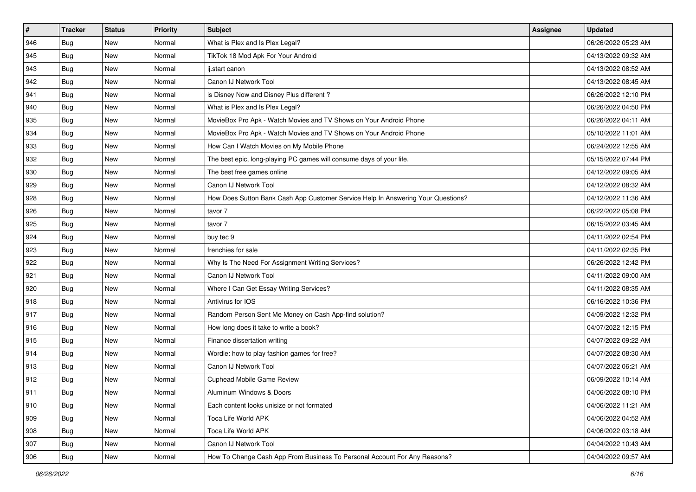| #   | <b>Tracker</b> | <b>Status</b> | <b>Priority</b> | Subject                                                                          | <b>Assignee</b> | <b>Updated</b>      |
|-----|----------------|---------------|-----------------|----------------------------------------------------------------------------------|-----------------|---------------------|
| 946 | <b>Bug</b>     | New           | Normal          | What is Plex and Is Plex Legal?                                                  |                 | 06/26/2022 05:23 AM |
| 945 | <b>Bug</b>     | <b>New</b>    | Normal          | TikTok 18 Mod Apk For Your Android                                               |                 | 04/13/2022 09:32 AM |
| 943 | Bug            | New           | Normal          | ij.start canon                                                                   |                 | 04/13/2022 08:52 AM |
| 942 | <b>Bug</b>     | New           | Normal          | Canon IJ Network Tool                                                            |                 | 04/13/2022 08:45 AM |
| 941 | <b>Bug</b>     | <b>New</b>    | Normal          | is Disney Now and Disney Plus different?                                         |                 | 06/26/2022 12:10 PM |
| 940 | Bug            | New           | Normal          | What is Plex and Is Plex Legal?                                                  |                 | 06/26/2022 04:50 PM |
| 935 | <b>Bug</b>     | New           | Normal          | MovieBox Pro Apk - Watch Movies and TV Shows on Your Android Phone               |                 | 06/26/2022 04:11 AM |
| 934 | <b>Bug</b>     | New           | Normal          | MovieBox Pro Apk - Watch Movies and TV Shows on Your Android Phone               |                 | 05/10/2022 11:01 AM |
| 933 | <b>Bug</b>     | New           | Normal          | How Can I Watch Movies on My Mobile Phone                                        |                 | 06/24/2022 12:55 AM |
| 932 | Bug            | <b>New</b>    | Normal          | The best epic, long-playing PC games will consume days of your life.             |                 | 05/15/2022 07:44 PM |
| 930 | <b>Bug</b>     | New           | Normal          | The best free games online                                                       |                 | 04/12/2022 09:05 AM |
| 929 | <b>Bug</b>     | New           | Normal          | Canon IJ Network Tool                                                            |                 | 04/12/2022 08:32 AM |
| 928 | <b>Bug</b>     | New           | Normal          | How Does Sutton Bank Cash App Customer Service Help In Answering Your Questions? |                 | 04/12/2022 11:36 AM |
| 926 | <b>Bug</b>     | New           | Normal          | tavor 7                                                                          |                 | 06/22/2022 05:08 PM |
| 925 | Bug            | <b>New</b>    | Normal          | tavor 7                                                                          |                 | 06/15/2022 03:45 AM |
| 924 | <b>Bug</b>     | New           | Normal          | buy tec 9                                                                        |                 | 04/11/2022 02:54 PM |
| 923 | <b>Bug</b>     | New           | Normal          | frenchies for sale                                                               |                 | 04/11/2022 02:35 PM |
| 922 | <b>Bug</b>     | New           | Normal          | Why Is The Need For Assignment Writing Services?                                 |                 | 06/26/2022 12:42 PM |
| 921 | <b>Bug</b>     | New           | Normal          | Canon IJ Network Tool                                                            |                 | 04/11/2022 09:00 AM |
| 920 | <b>Bug</b>     | New           | Normal          | Where I Can Get Essay Writing Services?                                          |                 | 04/11/2022 08:35 AM |
| 918 | Bug            | New           | Normal          | Antivirus for IOS                                                                |                 | 06/16/2022 10:36 PM |
| 917 | <b>Bug</b>     | New           | Normal          | Random Person Sent Me Money on Cash App-find solution?                           |                 | 04/09/2022 12:32 PM |
| 916 | Bug            | <b>New</b>    | Normal          | How long does it take to write a book?                                           |                 | 04/07/2022 12:15 PM |
| 915 | <b>Bug</b>     | New           | Normal          | Finance dissertation writing                                                     |                 | 04/07/2022 09:22 AM |
| 914 | <b>Bug</b>     | New           | Normal          | Wordle: how to play fashion games for free?                                      |                 | 04/07/2022 08:30 AM |
| 913 | Bug            | New           | Normal          | Canon IJ Network Tool                                                            |                 | 04/07/2022 06:21 AM |
| 912 | <b>Bug</b>     | New           | Normal          | <b>Cuphead Mobile Game Review</b>                                                |                 | 06/09/2022 10:14 AM |
| 911 | I Bug          | New           | Normal          | Aluminum Windows & Doors                                                         |                 | 04/06/2022 08:10 PM |
| 910 | Bug            | New           | Normal          | Each content looks unisize or not formated                                       |                 | 04/06/2022 11:21 AM |
| 909 | Bug            | New           | Normal          | Toca Life World APK                                                              |                 | 04/06/2022 04:52 AM |
| 908 | <b>Bug</b>     | New           | Normal          | Toca Life World APK                                                              |                 | 04/06/2022 03:18 AM |
| 907 | Bug            | New           | Normal          | Canon IJ Network Tool                                                            |                 | 04/04/2022 10:43 AM |
| 906 | <b>Bug</b>     | New           | Normal          | How To Change Cash App From Business To Personal Account For Any Reasons?        |                 | 04/04/2022 09:57 AM |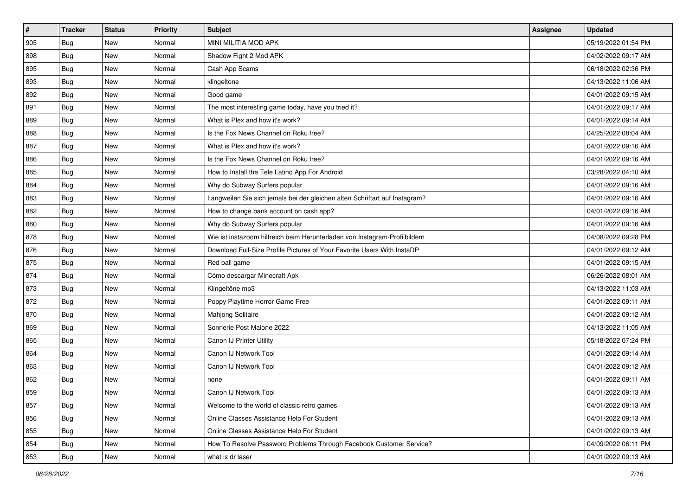| $\vert$ # | <b>Tracker</b> | <b>Status</b> | <b>Priority</b> | Subject                                                                     | <b>Assignee</b> | <b>Updated</b>      |
|-----------|----------------|---------------|-----------------|-----------------------------------------------------------------------------|-----------------|---------------------|
| 905       | <b>Bug</b>     | New           | Normal          | MINI MILITIA MOD APK                                                        |                 | 05/19/2022 01:54 PM |
| 898       | Bug            | New           | Normal          | Shadow Fight 2 Mod APK                                                      |                 | 04/02/2022 09:17 AM |
| 895       | Bug            | New           | Normal          | Cash App Scams                                                              |                 | 06/18/2022 02:36 PM |
| 893       | <b>Bug</b>     | <b>New</b>    | Normal          | klingeltone                                                                 |                 | 04/13/2022 11:06 AM |
| 892       | <b>Bug</b>     | <b>New</b>    | Normal          | Good game                                                                   |                 | 04/01/2022 09:15 AM |
| 891       | Bug            | New           | Normal          | The most interesting game today, have you tried it?                         |                 | 04/01/2022 09:17 AM |
| 889       | <b>Bug</b>     | New           | Normal          | What is Plex and how it's work?                                             |                 | 04/01/2022 09:14 AM |
| 888       | <b>Bug</b>     | New           | Normal          | Is the Fox News Channel on Roku free?                                       |                 | 04/25/2022 08:04 AM |
| 887       | <b>Bug</b>     | New           | Normal          | What is Plex and how it's work?                                             |                 | 04/01/2022 09:16 AM |
| 886       | Bug            | <b>New</b>    | Normal          | Is the Fox News Channel on Roku free?                                       |                 | 04/01/2022 09:16 AM |
| 885       | Bug            | New           | Normal          | How to Install the Tele Latino App For Android                              |                 | 03/28/2022 04:10 AM |
| 884       | <b>Bug</b>     | New           | Normal          | Why do Subway Surfers popular                                               |                 | 04/01/2022 09:16 AM |
| 883       | <b>Bug</b>     | New           | Normal          | Langweilen Sie sich jemals bei der gleichen alten Schriftart auf Instagram? |                 | 04/01/2022 09:16 AM |
| 882       | <b>Bug</b>     | <b>New</b>    | Normal          | How to change bank account on cash app?                                     |                 | 04/01/2022 09:16 AM |
| 880       | Bug            | <b>New</b>    | Normal          | Why do Subway Surfers popular                                               |                 | 04/01/2022 09:16 AM |
| 878       | Bug            | New           | Normal          | Wie ist instazoom hilfreich beim Herunterladen von Instagram-Profilbildern  |                 | 04/08/2022 09:28 PM |
| 876       | <b>Bug</b>     | New           | Normal          | Download Full-Size Profile Pictures of Your Favorite Users With InstaDP     |                 | 04/01/2022 09:12 AM |
| 875       | Bug            | <b>New</b>    | Normal          | Red ball game                                                               |                 | 04/01/2022 09:15 AM |
| 874       | <b>Bug</b>     | <b>New</b>    | Normal          | Cómo descargar Minecraft Apk                                                |                 | 06/26/2022 08:01 AM |
| 873       | <b>Bug</b>     | New           | Normal          | Klingeltöne mp3                                                             |                 | 04/13/2022 11:03 AM |
| 872       | Bug            | New           | Normal          | Poppy Playtime Horror Game Free                                             |                 | 04/01/2022 09:11 AM |
| 870       | <b>Bug</b>     | <b>New</b>    | Normal          | Mahjong Solitaire                                                           |                 | 04/01/2022 09:12 AM |
| 869       | Bug            | <b>New</b>    | Normal          | Sonnerie Post Malone 2022                                                   |                 | 04/13/2022 11:05 AM |
| 865       | <b>Bug</b>     | New           | Normal          | Canon IJ Printer Utility                                                    |                 | 05/18/2022 07:24 PM |
| 864       | <b>Bug</b>     | New           | Normal          | Canon IJ Network Tool                                                       |                 | 04/01/2022 09:14 AM |
| 863       | Bug            | New           | Normal          | Canon IJ Network Tool                                                       |                 | 04/01/2022 09:12 AM |
| 862       | <b>Bug</b>     | New           | Normal          | none                                                                        |                 | 04/01/2022 09:11 AM |
| 859       | <b>Bug</b>     | New           | Normal          | Canon IJ Network Tool                                                       |                 | 04/01/2022 09:13 AM |
| 857       | Bug            | New           | Normal          | Welcome to the world of classic retro games                                 |                 | 04/01/2022 09:13 AM |
| 856       | Bug            | New           | Normal          | Online Classes Assistance Help For Student                                  |                 | 04/01/2022 09:13 AM |
| 855       | Bug            | New           | Normal          | Online Classes Assistance Help For Student                                  |                 | 04/01/2022 09:13 AM |
| 854       | Bug            | New           | Normal          | How To Resolve Password Problems Through Facebook Customer Service?         |                 | 04/09/2022 06:11 PM |
| 853       | Bug            | New           | Normal          | what is dr laser                                                            |                 | 04/01/2022 09:13 AM |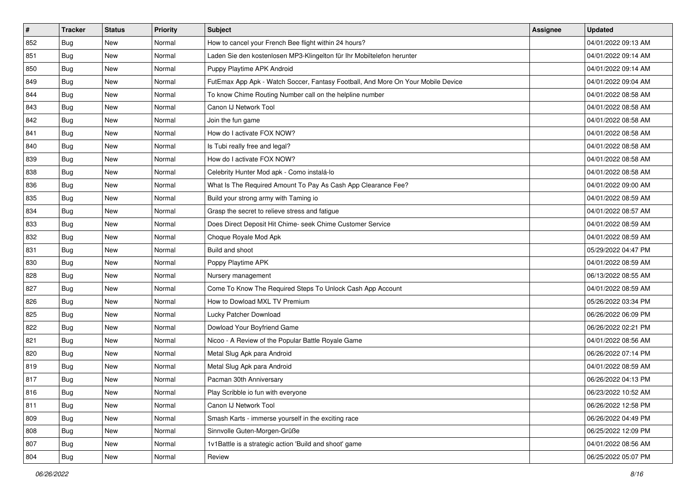| $\vert$ # | <b>Tracker</b> | <b>Status</b> | <b>Priority</b> | <b>Subject</b>                                                                   | <b>Assignee</b> | <b>Updated</b>      |
|-----------|----------------|---------------|-----------------|----------------------------------------------------------------------------------|-----------------|---------------------|
| 852       | Bug            | New           | Normal          | How to cancel your French Bee flight within 24 hours?                            |                 | 04/01/2022 09:13 AM |
| 851       | Bug            | <b>New</b>    | Normal          | Laden Sie den kostenlosen MP3-Klingelton für Ihr Mobiltelefon herunter           |                 | 04/01/2022 09:14 AM |
| 850       | <b>Bug</b>     | New           | Normal          | Puppy Playtime APK Android                                                       |                 | 04/01/2022 09:14 AM |
| 849       | <b>Bug</b>     | New           | Normal          | FutEmax App Apk - Watch Soccer, Fantasy Football, And More On Your Mobile Device |                 | 04/01/2022 09:04 AM |
| 844       | <b>Bug</b>     | <b>New</b>    | Normal          | To know Chime Routing Number call on the helpline number                         |                 | 04/01/2022 08:58 AM |
| 843       | <b>Bug</b>     | New           | Normal          | Canon IJ Network Tool                                                            |                 | 04/01/2022 08:58 AM |
| 842       | <b>Bug</b>     | New           | Normal          | Join the fun game                                                                |                 | 04/01/2022 08:58 AM |
| 841       | <b>Bug</b>     | New           | Normal          | How do I activate FOX NOW?                                                       |                 | 04/01/2022 08:58 AM |
| 840       | <b>Bug</b>     | New           | Normal          | Is Tubi really free and legal?                                                   |                 | 04/01/2022 08:58 AM |
| 839       | Bug            | <b>New</b>    | Normal          | How do I activate FOX NOW?                                                       |                 | 04/01/2022 08:58 AM |
| 838       | Bug            | New           | Normal          | Celebrity Hunter Mod apk - Como instalá-lo                                       |                 | 04/01/2022 08:58 AM |
| 836       | <b>Bug</b>     | New           | Normal          | What Is The Required Amount To Pay As Cash App Clearance Fee?                    |                 | 04/01/2022 09:00 AM |
| 835       | <b>Bug</b>     | New           | Normal          | Build your strong army with Taming io                                            |                 | 04/01/2022 08:59 AM |
| 834       | <b>Bug</b>     | New           | Normal          | Grasp the secret to relieve stress and fatigue                                   |                 | 04/01/2022 08:57 AM |
| 833       | <b>Bug</b>     | New           | Normal          | Does Direct Deposit Hit Chime- seek Chime Customer Service                       |                 | 04/01/2022 08:59 AM |
| 832       | Bug            | New           | Normal          | Choque Royale Mod Apk                                                            |                 | 04/01/2022 08:59 AM |
| 831       | <b>Bug</b>     | New           | Normal          | Build and shoot                                                                  |                 | 05/29/2022 04:47 PM |
| 830       | Bug            | <b>New</b>    | Normal          | Poppy Playtime APK                                                               |                 | 04/01/2022 08:59 AM |
| 828       | <b>Bug</b>     | New           | Normal          | Nursery management                                                               |                 | 06/13/2022 08:55 AM |
| 827       | <b>Bug</b>     | <b>New</b>    | Normal          | Come To Know The Required Steps To Unlock Cash App Account                       |                 | 04/01/2022 08:59 AM |
| 826       | <b>Bug</b>     | New           | Normal          | How to Dowload MXL TV Premium                                                    |                 | 05/26/2022 03:34 PM |
| 825       | <b>Bug</b>     | New           | Normal          | Lucky Patcher Download                                                           |                 | 06/26/2022 06:09 PM |
| 822       | Bug            | <b>New</b>    | Normal          | Dowload Your Boyfriend Game                                                      |                 | 06/26/2022 02:21 PM |
| 821       | <b>Bug</b>     | New           | Normal          | Nicoo - A Review of the Popular Battle Royale Game                               |                 | 04/01/2022 08:56 AM |
| 820       | Bug            | <b>New</b>    | Normal          | Metal Slug Apk para Android                                                      |                 | 06/26/2022 07:14 PM |
| 819       | Bug            | New           | Normal          | Metal Slug Apk para Android                                                      |                 | 04/01/2022 08:59 AM |
| 817       | <b>Bug</b>     | New           | Normal          | Pacman 30th Anniversary                                                          |                 | 06/26/2022 04:13 PM |
| 816       | i Bug          | New           | Normal          | Play Scribble io fun with everyone                                               |                 | 06/23/2022 10:52 AM |
| 811       | Bug            | New           | Normal          | Canon IJ Network Tool                                                            |                 | 06/26/2022 12:58 PM |
| 809       | Bug            | New           | Normal          | Smash Karts - immerse yourself in the exciting race                              |                 | 06/26/2022 04:49 PM |
| 808       | Bug            | New           | Normal          | Sinnvolle Guten-Morgen-Grüße                                                     |                 | 06/25/2022 12:09 PM |
| 807       | <b>Bug</b>     | New           | Normal          | 1v1Battle is a strategic action 'Build and shoot' game                           |                 | 04/01/2022 08:56 AM |
| 804       | <b>Bug</b>     | New           | Normal          | Review                                                                           |                 | 06/25/2022 05:07 PM |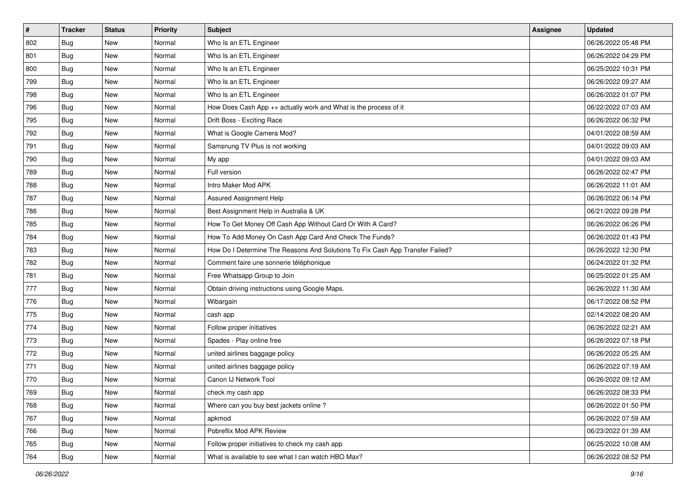| $\vert$ # | <b>Tracker</b> | <b>Status</b> | <b>Priority</b> | <b>Subject</b>                                                                | <b>Assignee</b> | <b>Updated</b>      |
|-----------|----------------|---------------|-----------------|-------------------------------------------------------------------------------|-----------------|---------------------|
| 802       | <b>Bug</b>     | New           | Normal          | Who Is an ETL Engineer                                                        |                 | 06/26/2022 05:48 PM |
| 801       | Bug            | New           | Normal          | Who Is an ETL Engineer                                                        |                 | 06/26/2022 04:29 PM |
| 800       | Bug            | New           | Normal          | Who Is an ETL Engineer                                                        |                 | 06/25/2022 10:31 PM |
| 799       | <b>Bug</b>     | New           | Normal          | Who Is an ETL Engineer                                                        |                 | 06/26/2022 09:27 AM |
| 798       | <b>Bug</b>     | New           | Normal          | Who Is an ETL Engineer                                                        |                 | 06/26/2022 01:07 PM |
| 796       | Bug            | New           | Normal          | How Does Cash App ++ actually work and What is the process of it              |                 | 06/22/2022 07:03 AM |
| 795       | Bug            | New           | Normal          | Drift Boss - Exciting Race                                                    |                 | 06/26/2022 06:32 PM |
| 792       | Bug            | New           | Normal          | What is Google Camera Mod?                                                    |                 | 04/01/2022 08:59 AM |
| 791       | <b>Bug</b>     | New           | Normal          | Samsnung TV Plus is not working                                               |                 | 04/01/2022 09:03 AM |
| 790       | Bug            | <b>New</b>    | Normal          | My app                                                                        |                 | 04/01/2022 09:03 AM |
| 789       | <b>Bug</b>     | New           | Normal          | Full version                                                                  |                 | 06/26/2022 02:47 PM |
| 788       | <b>Bug</b>     | New           | Normal          | Intro Maker Mod APK                                                           |                 | 06/26/2022 11:01 AM |
| 787       | <b>Bug</b>     | New           | Normal          | Assured Assignment Help                                                       |                 | 06/26/2022 06:14 PM |
| 786       | <b>Bug</b>     | <b>New</b>    | Normal          | Best Assignment Help in Australia & UK                                        |                 | 06/21/2022 09:28 PM |
| 785       | Bug            | New           | Normal          | How To Get Money Off Cash App Without Card Or With A Card?                    |                 | 06/26/2022 06:26 PM |
| 784       | Bug            | New           | Normal          | How To Add Money On Cash App Card And Check The Funds?                        |                 | 06/26/2022 01:43 PM |
| 783       | <b>Bug</b>     | New           | Normal          | How Do I Determine The Reasons And Solutions To Fix Cash App Transfer Failed? |                 | 06/26/2022 12:30 PM |
| 782       | <b>Bug</b>     | New           | Normal          | Comment faire une sonnerie téléphonique                                       |                 | 06/24/2022 01:32 PM |
| 781       | <b>Bug</b>     | New           | Normal          | Free Whatsapp Group to Join                                                   |                 | 06/25/2022 01:25 AM |
| 777       | <b>Bug</b>     | New           | Normal          | Obtain driving instructions using Google Maps.                                |                 | 06/26/2022 11:30 AM |
| 776       | Bug            | New           | Normal          | Wibargain                                                                     |                 | 06/17/2022 08:52 PM |
| 775       | <b>Bug</b>     | New           | Normal          | cash app                                                                      |                 | 02/14/2022 08:20 AM |
| 774       | Bug            | <b>New</b>    | Normal          | Follow proper initiatives                                                     |                 | 06/26/2022 02:21 AM |
| 773       | <b>Bug</b>     | New           | Normal          | Spades - Play online free                                                     |                 | 06/26/2022 07:18 PM |
| 772       | <b>Bug</b>     | New           | Normal          | united airlines baggage policy                                                |                 | 06/26/2022 05:25 AM |
| 771       | Bug            | New           | Normal          | united airlines baggage policy                                                |                 | 06/26/2022 07:19 AM |
| 770       | <b>Bug</b>     | <b>New</b>    | Normal          | Canon IJ Network Tool                                                         |                 | 06/26/2022 09:12 AM |
| 769       | I Bug          | New           | Normal          | check my cash app                                                             |                 | 06/26/2022 08:33 PM |
| 768       | Bug            | New           | Normal          | Where can you buy best jackets online?                                        |                 | 06/26/2022 01:50 PM |
| 767       | Bug            | New           | Normal          | apkmod                                                                        |                 | 06/26/2022 07:59 AM |
| 766       | Bug            | New           | Normal          | Pobreflix Mod APK Review                                                      |                 | 06/23/2022 01:39 AM |
| 765       | Bug            | New           | Normal          | Follow proper initiatives to check my cash app                                |                 | 06/25/2022 10:08 AM |
| 764       | Bug            | New           | Normal          | What is available to see what I can watch HBO Max?                            |                 | 06/26/2022 08:52 PM |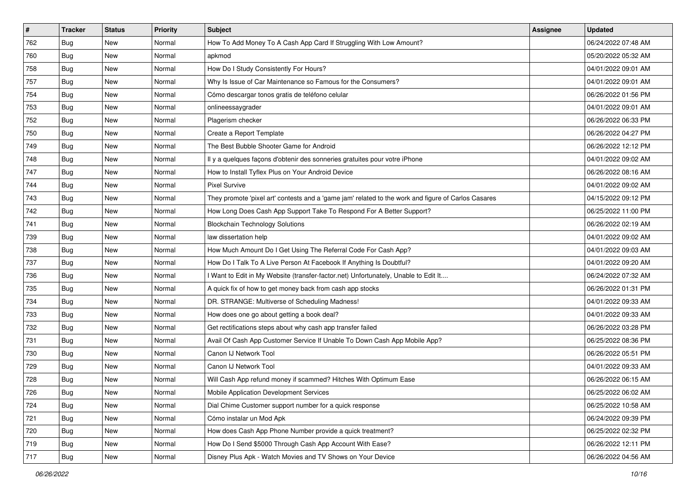| #   | <b>Tracker</b> | <b>Status</b> | <b>Priority</b> | <b>Subject</b>                                                                                      | <b>Assignee</b> | <b>Updated</b>      |
|-----|----------------|---------------|-----------------|-----------------------------------------------------------------------------------------------------|-----------------|---------------------|
| 762 | <b>Bug</b>     | New           | Normal          | How To Add Money To A Cash App Card If Struggling With Low Amount?                                  |                 | 06/24/2022 07:48 AM |
| 760 | Bug            | New           | Normal          | apkmod                                                                                              |                 | 05/20/2022 05:32 AM |
| 758 | Bug            | New           | Normal          | How Do I Study Consistently For Hours?                                                              |                 | 04/01/2022 09:01 AM |
| 757 | <b>Bug</b>     | New           | Normal          | Why Is Issue of Car Maintenance so Famous for the Consumers?                                        |                 | 04/01/2022 09:01 AM |
| 754 | Bug            | New           | Normal          | Cómo descargar tonos gratis de teléfono celular                                                     |                 | 06/26/2022 01:56 PM |
| 753 | <b>Bug</b>     | New           | Normal          | onlineessaygrader                                                                                   |                 | 04/01/2022 09:01 AM |
| 752 | Bug            | New           | Normal          | Plagerism checker                                                                                   |                 | 06/26/2022 06:33 PM |
| 750 | <b>Bug</b>     | <b>New</b>    | Normal          | Create a Report Template                                                                            |                 | 06/26/2022 04:27 PM |
| 749 | Bug            | New           | Normal          | The Best Bubble Shooter Game for Android                                                            |                 | 06/26/2022 12:12 PM |
| 748 | <b>Bug</b>     | New           | Normal          | Il y a quelques façons d'obtenir des sonneries gratuites pour votre iPhone                          |                 | 04/01/2022 09:02 AM |
| 747 | <b>Bug</b>     | New           | Normal          | How to Install Tyflex Plus on Your Android Device                                                   |                 | 06/26/2022 08:16 AM |
| 744 | Bug            | New           | Normal          | <b>Pixel Survive</b>                                                                                |                 | 04/01/2022 09:02 AM |
| 743 | Bug            | New           | Normal          | They promote 'pixel art' contests and a 'game jam' related to the work and figure of Carlos Casares |                 | 04/15/2022 09:12 PM |
| 742 | <b>Bug</b>     | New           | Normal          | How Long Does Cash App Support Take To Respond For A Better Support?                                |                 | 06/25/2022 11:00 PM |
| 741 | Bug            | New           | Normal          | <b>Blockchain Technology Solutions</b>                                                              |                 | 06/26/2022 02:19 AM |
| 739 | Bug            | New           | Normal          | law dissertation help                                                                               |                 | 04/01/2022 09:02 AM |
| 738 | <b>Bug</b>     | New           | Normal          | How Much Amount Do I Get Using The Referral Code For Cash App?                                      |                 | 04/01/2022 09:03 AM |
| 737 | Bug            | New           | Normal          | How Do I Talk To A Live Person At Facebook If Anything Is Doubtful?                                 |                 | 04/01/2022 09:20 AM |
| 736 | <b>Bug</b>     | New           | Normal          | I Want to Edit in My Website (transfer-factor.net) Unfortunately, Unable to Edit It                 |                 | 06/24/2022 07:32 AM |
| 735 | Bug            | New           | Normal          | A quick fix of how to get money back from cash app stocks                                           |                 | 06/26/2022 01:31 PM |
| 734 | <b>Bug</b>     | New           | Normal          | DR. STRANGE: Multiverse of Scheduling Madness!                                                      |                 | 04/01/2022 09:33 AM |
| 733 | Bug            | New           | Normal          | How does one go about getting a book deal?                                                          |                 | 04/01/2022 09:33 AM |
| 732 | Bug            | New           | Normal          | Get rectifications steps about why cash app transfer failed                                         |                 | 06/26/2022 03:28 PM |
| 731 | Bug            | New           | Normal          | Avail Of Cash App Customer Service If Unable To Down Cash App Mobile App?                           |                 | 06/25/2022 08:36 PM |
| 730 | Bug            | New           | Normal          | Canon IJ Network Tool                                                                               |                 | 06/26/2022 05:51 PM |
| 729 | Bug            | New           | Normal          | Canon IJ Network Tool                                                                               |                 | 04/01/2022 09:33 AM |
| 728 | <b>Bug</b>     | New           | Normal          | Will Cash App refund money if scammed? Hitches With Optimum Ease                                    |                 | 06/26/2022 06:15 AM |
| 726 | Bug            | New           | Normal          | Mobile Application Development Services                                                             |                 | 06/25/2022 06:02 AM |
| 724 | Bug            | New           | Normal          | Dial Chime Customer support number for a quick response                                             |                 | 06/25/2022 10:58 AM |
| 721 | <b>Bug</b>     | New           | Normal          | Cómo instalar un Mod Apk                                                                            |                 | 06/24/2022 09:39 PM |
| 720 | <b>Bug</b>     | New           | Normal          | How does Cash App Phone Number provide a quick treatment?                                           |                 | 06/25/2022 02:32 PM |
| 719 | Bug            | New           | Normal          | How Do I Send \$5000 Through Cash App Account With Ease?                                            |                 | 06/26/2022 12:11 PM |
| 717 | <b>Bug</b>     | New           | Normal          | Disney Plus Apk - Watch Movies and TV Shows on Your Device                                          |                 | 06/26/2022 04:56 AM |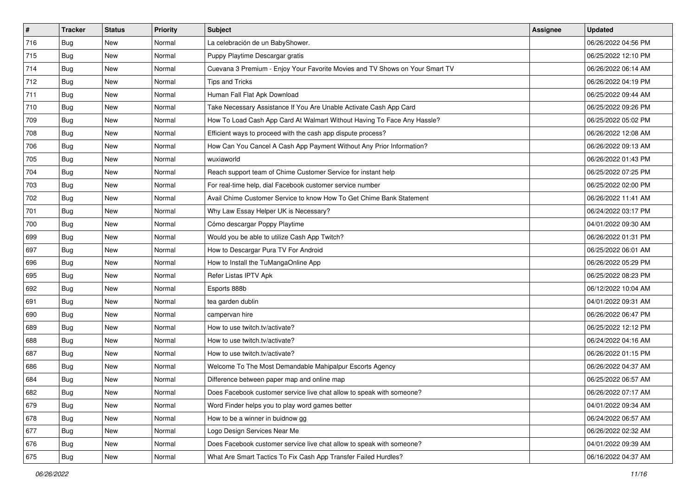| $\vert$ # | <b>Tracker</b> | <b>Status</b> | <b>Priority</b> | Subject                                                                      | <b>Assignee</b> | <b>Updated</b>      |
|-----------|----------------|---------------|-----------------|------------------------------------------------------------------------------|-----------------|---------------------|
| 716       | <b>Bug</b>     | New           | Normal          | La celebración de un BabyShower.                                             |                 | 06/26/2022 04:56 PM |
| 715       | Bug            | New           | Normal          | Puppy Playtime Descargar gratis                                              |                 | 06/25/2022 12:10 PM |
| 714       | <b>Bug</b>     | New           | Normal          | Cuevana 3 Premium - Enjoy Your Favorite Movies and TV Shows on Your Smart TV |                 | 06/26/2022 06:14 AM |
| 712       | <b>Bug</b>     | New           | Normal          | Tips and Tricks                                                              |                 | 06/26/2022 04:19 PM |
| 711       | <b>Bug</b>     | <b>New</b>    | Normal          | Human Fall Flat Apk Download                                                 |                 | 06/25/2022 09:44 AM |
| 710       | <b>Bug</b>     | New           | Normal          | Take Necessary Assistance If You Are Unable Activate Cash App Card           |                 | 06/25/2022 09:26 PM |
| 709       | Bug            | New           | Normal          | How To Load Cash App Card At Walmart Without Having To Face Any Hassle?      |                 | 06/25/2022 05:02 PM |
| 708       | <b>Bug</b>     | New           | Normal          | Efficient ways to proceed with the cash app dispute process?                 |                 | 06/26/2022 12:08 AM |
| 706       | <b>Bug</b>     | New           | Normal          | How Can You Cancel A Cash App Payment Without Any Prior Information?         |                 | 06/26/2022 09:13 AM |
| 705       | Bug            | New           | Normal          | wuxiaworld                                                                   |                 | 06/26/2022 01:43 PM |
| 704       | Bug            | New           | Normal          | Reach support team of Chime Customer Service for instant help                |                 | 06/25/2022 07:25 PM |
| 703       | Bug            | New           | Normal          | For real-time help, dial Facebook customer service number                    |                 | 06/25/2022 02:00 PM |
| 702       | Bug            | New           | Normal          | Avail Chime Customer Service to know How To Get Chime Bank Statement         |                 | 06/26/2022 11:41 AM |
| 701       | <b>Bug</b>     | New           | Normal          | Why Law Essay Helper UK is Necessary?                                        |                 | 06/24/2022 03:17 PM |
| 700       | <b>Bug</b>     | New           | Normal          | Cómo descargar Poppy Playtime                                                |                 | 04/01/2022 09:30 AM |
| 699       | Bug            | New           | Normal          | Would you be able to utilize Cash App Twitch?                                |                 | 06/26/2022 01:31 PM |
| 697       | <b>Bug</b>     | New           | Normal          | How to Descargar Pura TV For Android                                         |                 | 06/25/2022 06:01 AM |
| 696       | Bug            | New           | Normal          | How to Install the TuMangaOnline App                                         |                 | 06/26/2022 05:29 PM |
| 695       | <b>Bug</b>     | New           | Normal          | Refer Listas IPTV Apk                                                        |                 | 06/25/2022 08:23 PM |
| 692       | <b>Bug</b>     | New           | Normal          | Esports 888b                                                                 |                 | 06/12/2022 10:04 AM |
| 691       | <b>Bug</b>     | New           | Normal          | tea garden dublin                                                            |                 | 04/01/2022 09:31 AM |
| 690       | <b>Bug</b>     | New           | Normal          | campervan hire                                                               |                 | 06/26/2022 06:47 PM |
| 689       | Bug            | <b>New</b>    | Normal          | How to use twitch.tv/activate?                                               |                 | 06/25/2022 12:12 PM |
| 688       | <b>Bug</b>     | New           | Normal          | How to use twitch.tv/activate?                                               |                 | 06/24/2022 04:16 AM |
| 687       | <b>Bug</b>     | New           | Normal          | How to use twitch.tv/activate?                                               |                 | 06/26/2022 01:15 PM |
| 686       | <b>Bug</b>     | New           | Normal          | Welcome To The Most Demandable Mahipalpur Escorts Agency                     |                 | 06/26/2022 04:37 AM |
| 684       | <b>Bug</b>     | New           | Normal          | Difference between paper map and online map                                  |                 | 06/25/2022 06:57 AM |
| 682       | I Bug          | New           | Normal          | Does Facebook customer service live chat allow to speak with someone?        |                 | 06/26/2022 07:17 AM |
| 679       | Bug            | New           | Normal          | Word Finder helps you to play word games better                              |                 | 04/01/2022 09:34 AM |
| 678       | Bug            | New           | Normal          | How to be a winner in buidnow gg                                             |                 | 06/24/2022 06:57 AM |
| 677       | Bug            | New           | Normal          | Logo Design Services Near Me                                                 |                 | 06/26/2022 02:32 AM |
| 676       | Bug            | New           | Normal          | Does Facebook customer service live chat allow to speak with someone?        |                 | 04/01/2022 09:39 AM |
| 675       | <b>Bug</b>     | New           | Normal          | What Are Smart Tactics To Fix Cash App Transfer Failed Hurdles?              |                 | 06/16/2022 04:37 AM |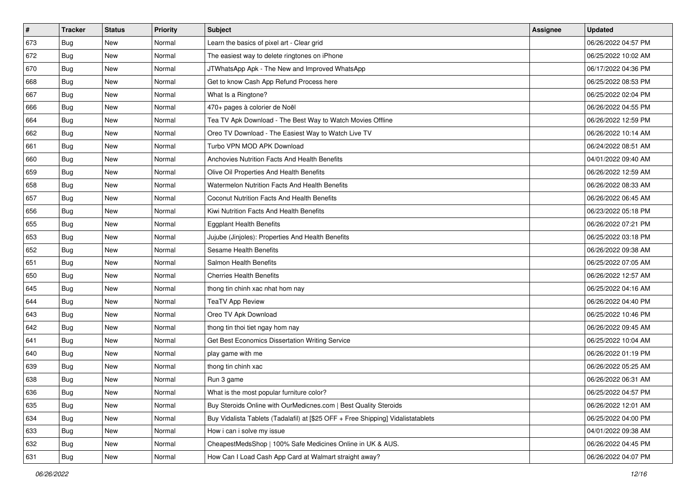| $\vert$ # | <b>Tracker</b> | <b>Status</b> | <b>Priority</b> | Subject                                                                          | <b>Assignee</b> | <b>Updated</b>      |
|-----------|----------------|---------------|-----------------|----------------------------------------------------------------------------------|-----------------|---------------------|
| 673       | Bug            | New           | Normal          | Learn the basics of pixel art - Clear grid                                       |                 | 06/26/2022 04:57 PM |
| 672       | Bug            | <b>New</b>    | Normal          | The easiest way to delete ringtones on iPhone                                    |                 | 06/25/2022 10:02 AM |
| 670       | Bug            | New           | Normal          | JTWhatsApp Apk - The New and Improved WhatsApp                                   |                 | 06/17/2022 04:36 PM |
| 668       | <b>Bug</b>     | New           | Normal          | Get to know Cash App Refund Process here                                         |                 | 06/25/2022 08:53 PM |
| 667       | Bug            | <b>New</b>    | Normal          | What Is a Ringtone?                                                              |                 | 06/25/2022 02:04 PM |
| 666       | Bug            | New           | Normal          | 470+ pages à colorier de Noël                                                    |                 | 06/26/2022 04:55 PM |
| 664       | Bug            | New           | Normal          | Tea TV Apk Download - The Best Way to Watch Movies Offline                       |                 | 06/26/2022 12:59 PM |
| 662       | <b>Bug</b>     | New           | Normal          | Oreo TV Download - The Easiest Way to Watch Live TV                              |                 | 06/26/2022 10:14 AM |
| 661       | <b>Bug</b>     | New           | Normal          | Turbo VPN MOD APK Download                                                       |                 | 06/24/2022 08:51 AM |
| 660       | Bug            | <b>New</b>    | Normal          | Anchovies Nutrition Facts And Health Benefits                                    |                 | 04/01/2022 09:40 AM |
| 659       | Bug            | New           | Normal          | Olive Oil Properties And Health Benefits                                         |                 | 06/26/2022 12:59 AM |
| 658       | Bug            | New           | Normal          | Watermelon Nutrition Facts And Health Benefits                                   |                 | 06/26/2022 08:33 AM |
| 657       | Bug            | New           | Normal          | Coconut Nutrition Facts And Health Benefits                                      |                 | 06/26/2022 06:45 AM |
| 656       | <b>Bug</b>     | <b>New</b>    | Normal          | Kiwi Nutrition Facts And Health Benefits                                         |                 | 06/23/2022 05:18 PM |
| 655       | Bug            | New           | Normal          | <b>Eggplant Health Benefits</b>                                                  |                 | 06/26/2022 07:21 PM |
| 653       | Bug            | New           | Normal          | Jujube (Jinjoles): Properties And Health Benefits                                |                 | 06/25/2022 03:18 PM |
| 652       | <b>Bug</b>     | New           | Normal          | <b>Sesame Health Benefits</b>                                                    |                 | 06/26/2022 09:38 AM |
| 651       | Bug            | New           | Normal          | Salmon Health Benefits                                                           |                 | 06/25/2022 07:05 AM |
| 650       | <b>Bug</b>     | New           | Normal          | <b>Cherries Health Benefits</b>                                                  |                 | 06/26/2022 12:57 AM |
| 645       | <b>Bug</b>     | New           | Normal          | thong tin chinh xac nhat hom nay                                                 |                 | 06/25/2022 04:16 AM |
| 644       | <b>Bug</b>     | New           | Normal          | <b>TeaTV App Review</b>                                                          |                 | 06/26/2022 04:40 PM |
| 643       | <b>Bug</b>     | New           | Normal          | Oreo TV Apk Download                                                             |                 | 06/25/2022 10:46 PM |
| 642       | Bug            | <b>New</b>    | Normal          | thong tin thoi tiet ngay hom nay                                                 |                 | 06/26/2022 09:45 AM |
| 641       | <b>Bug</b>     | New           | Normal          | Get Best Economics Dissertation Writing Service                                  |                 | 06/25/2022 10:04 AM |
| 640       | <b>Bug</b>     | New           | Normal          | play game with me                                                                |                 | 06/26/2022 01:19 PM |
| 639       | Bug            | New           | Normal          | thong tin chinh xac                                                              |                 | 06/26/2022 05:25 AM |
| 638       | <b>Bug</b>     | New           | Normal          | Run 3 game                                                                       |                 | 06/26/2022 06:31 AM |
| 636       | I Bug          | New           | Normal          | What is the most popular furniture color?                                        |                 | 06/25/2022 04:57 PM |
| 635       | Bug            | New           | Normal          | Buy Steroids Online with OurMedicnes.com   Best Quality Steroids                 |                 | 06/26/2022 12:01 AM |
| 634       | Bug            | New           | Normal          | Buy Vidalista Tablets (Tadalafil) at [\$25 OFF + Free Shipping] Vidalistatablets |                 | 06/25/2022 04:00 PM |
| 633       | <b>Bug</b>     | New           | Normal          | How i can i solve my issue                                                       |                 | 04/01/2022 09:38 AM |
| 632       | <b>Bug</b>     | New           | Normal          | CheapestMedsShop   100% Safe Medicines Online in UK & AUS.                       |                 | 06/26/2022 04:45 PM |
| 631       | <b>Bug</b>     | New           | Normal          | How Can I Load Cash App Card at Walmart straight away?                           |                 | 06/26/2022 04:07 PM |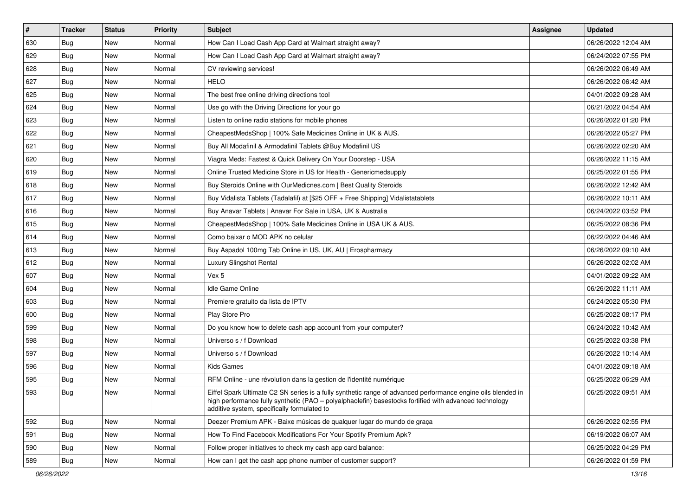| $\sharp$ | <b>Tracker</b> | <b>Status</b> | <b>Priority</b> | <b>Subject</b>                                                                                                                                                                                                                                                        | <b>Assignee</b> | <b>Updated</b>      |
|----------|----------------|---------------|-----------------|-----------------------------------------------------------------------------------------------------------------------------------------------------------------------------------------------------------------------------------------------------------------------|-----------------|---------------------|
| 630      | <b>Bug</b>     | New           | Normal          | How Can I Load Cash App Card at Walmart straight away?                                                                                                                                                                                                                |                 | 06/26/2022 12:04 AM |
| 629      | Bug            | <b>New</b>    | Normal          | How Can I Load Cash App Card at Walmart straight away?                                                                                                                                                                                                                |                 | 06/24/2022 07:55 PM |
| 628      | Bug            | New           | Normal          | CV reviewing services!                                                                                                                                                                                                                                                |                 | 06/26/2022 06:49 AM |
| 627      | <b>Bug</b>     | <b>New</b>    | Normal          | <b>HELO</b>                                                                                                                                                                                                                                                           |                 | 06/26/2022 06:42 AM |
| 625      | Bug            | <b>New</b>    | Normal          | The best free online driving directions tool                                                                                                                                                                                                                          |                 | 04/01/2022 09:28 AM |
| 624      | <b>Bug</b>     | <b>New</b>    | Normal          | Use go with the Driving Directions for your go                                                                                                                                                                                                                        |                 | 06/21/2022 04:54 AM |
| 623      | Bug            | <b>New</b>    | Normal          | Listen to online radio stations for mobile phones                                                                                                                                                                                                                     |                 | 06/26/2022 01:20 PM |
| 622      | Bug            | <b>New</b>    | Normal          | CheapestMedsShop   100% Safe Medicines Online in UK & AUS.                                                                                                                                                                                                            |                 | 06/26/2022 05:27 PM |
| 621      | <b>Bug</b>     | <b>New</b>    | Normal          | Buy All Modafinil & Armodafinil Tablets @Buy Modafinil US                                                                                                                                                                                                             |                 | 06/26/2022 02:20 AM |
| 620      | Bug            | <b>New</b>    | Normal          | Viagra Meds: Fastest & Quick Delivery On Your Doorstep - USA                                                                                                                                                                                                          |                 | 06/26/2022 11:15 AM |
| 619      | Bug            | New           | Normal          | Online Trusted Medicine Store in US for Health - Genericmedsupply                                                                                                                                                                                                     |                 | 06/25/2022 01:55 PM |
| 618      | <b>Bug</b>     | <b>New</b>    | Normal          | Buy Steroids Online with OurMedicnes.com   Best Quality Steroids                                                                                                                                                                                                      |                 | 06/26/2022 12:42 AM |
| 617      | <b>Bug</b>     | <b>New</b>    | Normal          | Buy Vidalista Tablets (Tadalafil) at [\$25 OFF + Free Shipping] Vidalistatablets                                                                                                                                                                                      |                 | 06/26/2022 10:11 AM |
| 616      | Bug            | <b>New</b>    | Normal          | Buy Anavar Tablets   Anavar For Sale in USA, UK & Australia                                                                                                                                                                                                           |                 | 06/24/2022 03:52 PM |
| 615      | Bug            | <b>New</b>    | Normal          | CheapestMedsShop   100% Safe Medicines Online in USA UK & AUS.                                                                                                                                                                                                        |                 | 06/25/2022 08:36 PM |
| 614      | <b>Bug</b>     | New           | Normal          | Como baixar o MOD APK no celular                                                                                                                                                                                                                                      |                 | 06/22/2022 04:46 AM |
| 613      | <b>Bug</b>     | <b>New</b>    | Normal          | Buy Aspadol 100mg Tab Online in US, UK, AU   Erospharmacy                                                                                                                                                                                                             |                 | 06/26/2022 09:10 AM |
| 612      | <b>Bug</b>     | New           | Normal          | Luxury Slingshot Rental                                                                                                                                                                                                                                               |                 | 06/26/2022 02:02 AM |
| 607      | <b>Bug</b>     | <b>New</b>    | Normal          | Vex 5                                                                                                                                                                                                                                                                 |                 | 04/01/2022 09:22 AM |
| 604      | <b>Bug</b>     | New           | Normal          | Idle Game Online                                                                                                                                                                                                                                                      |                 | 06/26/2022 11:11 AM |
| 603      | Bug            | New           | Normal          | Premiere gratuito da lista de IPTV                                                                                                                                                                                                                                    |                 | 06/24/2022 05:30 PM |
| 600      | <b>Bug</b>     | <b>New</b>    | Normal          | Play Store Pro                                                                                                                                                                                                                                                        |                 | 06/25/2022 08:17 PM |
| 599      | Bug            | <b>New</b>    | Normal          | Do you know how to delete cash app account from your computer?                                                                                                                                                                                                        |                 | 06/24/2022 10:42 AM |
| 598      | Bug            | <b>New</b>    | Normal          | Universo s / f Download                                                                                                                                                                                                                                               |                 | 06/25/2022 03:38 PM |
| 597      | Bug            | <b>New</b>    | Normal          | Universo s / f Download                                                                                                                                                                                                                                               |                 | 06/26/2022 10:14 AM |
| 596      | <b>Bug</b>     | <b>New</b>    | Normal          | Kids Games                                                                                                                                                                                                                                                            |                 | 04/01/2022 09:18 AM |
| 595      | Bug            | New           | Normal          | RFM Online - une révolution dans la gestion de l'identité numérique                                                                                                                                                                                                   |                 | 06/25/2022 06:29 AM |
| 593      | <b>Bug</b>     | New           | Normal          | Eiffel Spark Ultimate C2 SN series is a fully synthetic range of advanced performance engine oils blended in<br>high performance fully synthetic (PAO - polyalphaolefin) basestocks fortified with advanced technology<br>additive system, specifically formulated to |                 | 06/25/2022 09:51 AM |
| 592      | Bug            | New           | Normal          | Deezer Premium APK - Baixe músicas de qualquer lugar do mundo de graça                                                                                                                                                                                                |                 | 06/26/2022 02:55 PM |
| 591      | <b>Bug</b>     | New           | Normal          | How To Find Facebook Modifications For Your Spotify Premium Apk?                                                                                                                                                                                                      |                 | 06/19/2022 06:07 AM |
| 590      | Bug            | New           | Normal          | Follow proper initiatives to check my cash app card balance:                                                                                                                                                                                                          |                 | 06/25/2022 04:29 PM |
| 589      | <b>Bug</b>     | New           | Normal          | How can I get the cash app phone number of customer support?                                                                                                                                                                                                          |                 | 06/26/2022 01:59 PM |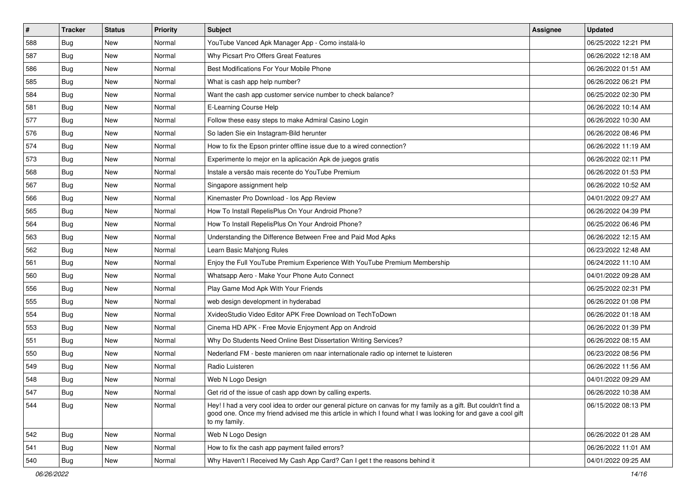| $\sharp$ | <b>Tracker</b> | <b>Status</b> | <b>Priority</b> | <b>Subject</b>                                                                                                                                                                                                                                    | <b>Assignee</b> | <b>Updated</b>      |
|----------|----------------|---------------|-----------------|---------------------------------------------------------------------------------------------------------------------------------------------------------------------------------------------------------------------------------------------------|-----------------|---------------------|
| 588      | <b>Bug</b>     | New           | Normal          | YouTube Vanced Apk Manager App - Como instalá-lo                                                                                                                                                                                                  |                 | 06/25/2022 12:21 PM |
| 587      | Bug            | New           | Normal          | Why Picsart Pro Offers Great Features                                                                                                                                                                                                             |                 | 06/26/2022 12:18 AM |
| 586      | Bug            | New           | Normal          | Best Modifications For Your Mobile Phone                                                                                                                                                                                                          |                 | 06/26/2022 01:51 AM |
| 585      | <b>Bug</b>     | New           | Normal          | What is cash app help number?                                                                                                                                                                                                                     |                 | 06/26/2022 06:21 PM |
| 584      | <b>Bug</b>     | New           | Normal          | Want the cash app customer service number to check balance?                                                                                                                                                                                       |                 | 06/25/2022 02:30 PM |
| 581      | <b>Bug</b>     | New           | Normal          | E-Learning Course Help                                                                                                                                                                                                                            |                 | 06/26/2022 10:14 AM |
| 577      | Bug            | New           | Normal          | Follow these easy steps to make Admiral Casino Login                                                                                                                                                                                              |                 | 06/26/2022 10:30 AM |
| 576      | <b>Bug</b>     | New           | Normal          | So laden Sie ein Instagram-Bild herunter                                                                                                                                                                                                          |                 | 06/26/2022 08:46 PM |
| 574      | <b>Bug</b>     | New           | Normal          | How to fix the Epson printer offline issue due to a wired connection?                                                                                                                                                                             |                 | 06/26/2022 11:19 AM |
| 573      | Bug            | New           | Normal          | Experimente lo mejor en la aplicación Apk de juegos gratis                                                                                                                                                                                        |                 | 06/26/2022 02:11 PM |
| 568      | Bug            | New           | Normal          | Instale a versão mais recente do YouTube Premium                                                                                                                                                                                                  |                 | 06/26/2022 01:53 PM |
| 567      | Bug            | New           | Normal          | Singapore assignment help                                                                                                                                                                                                                         |                 | 06/26/2022 10:52 AM |
| 566      | Bug            | New           | Normal          | Kinemaster Pro Download - los App Review                                                                                                                                                                                                          |                 | 04/01/2022 09:27 AM |
| 565      | <b>Bug</b>     | New           | Normal          | How To Install RepelisPlus On Your Android Phone?                                                                                                                                                                                                 |                 | 06/26/2022 04:39 PM |
| 564      | <b>Bug</b>     | <b>New</b>    | Normal          | How To Install RepelisPlus On Your Android Phone?                                                                                                                                                                                                 |                 | 06/25/2022 06:46 PM |
| 563      | Bug            | New           | Normal          | Understanding the Difference Between Free and Paid Mod Apks                                                                                                                                                                                       |                 | 06/26/2022 12:15 AM |
| 562      | <b>Bug</b>     | New           | Normal          | Learn Basic Mahjong Rules                                                                                                                                                                                                                         |                 | 06/23/2022 12:48 AM |
| 561      | Bug            | New           | Normal          | Enjoy the Full YouTube Premium Experience With YouTube Premium Membership                                                                                                                                                                         |                 | 06/24/2022 11:10 AM |
| 560      | Bug            | New           | Normal          | Whatsapp Aero - Make Your Phone Auto Connect                                                                                                                                                                                                      |                 | 04/01/2022 09:28 AM |
| 556      | <b>Bug</b>     | New           | Normal          | Play Game Mod Apk With Your Friends                                                                                                                                                                                                               |                 | 06/25/2022 02:31 PM |
| 555      | <b>Bug</b>     | New           | Normal          | web design development in hyderabad                                                                                                                                                                                                               |                 | 06/26/2022 01:08 PM |
| 554      | <b>Bug</b>     | New           | Normal          | XvideoStudio Video Editor APK Free Download on TechToDown                                                                                                                                                                                         |                 | 06/26/2022 01:18 AM |
| 553      | Bug            | New           | Normal          | Cinema HD APK - Free Movie Enjoyment App on Android                                                                                                                                                                                               |                 | 06/26/2022 01:39 PM |
| 551      | <b>Bug</b>     | New           | Normal          | Why Do Students Need Online Best Dissertation Writing Services?                                                                                                                                                                                   |                 | 06/26/2022 08:15 AM |
| 550      | Bug            | New           | Normal          | Nederland FM - beste manieren om naar internationale radio op internet te luisteren                                                                                                                                                               |                 | 06/23/2022 08:56 PM |
| 549      | <b>Bug</b>     | <b>New</b>    | Normal          | Radio Luisteren                                                                                                                                                                                                                                   |                 | 06/26/2022 11:56 AM |
| 548      | <b>Bug</b>     | New           | Normal          | Web N Logo Design                                                                                                                                                                                                                                 |                 | 04/01/2022 09:29 AM |
| 547      | Bug            | New           | Normal          | Get rid of the issue of cash app down by calling experts.                                                                                                                                                                                         |                 | 06/26/2022 10:38 AM |
| 544      | Bug            | New           | Normal          | Hey! I had a very cool idea to order our general picture on canvas for my family as a gift. But couldn't find a<br>good one. Once my friend advised me this article in which I found what I was looking for and gave a cool gift<br>to my family. |                 | 06/15/2022 08:13 PM |
| 542      | Bug            | New           | Normal          | Web N Logo Design                                                                                                                                                                                                                                 |                 | 06/26/2022 01:28 AM |
| 541      | Bug            | New           | Normal          | How to fix the cash app payment failed errors?                                                                                                                                                                                                    |                 | 06/26/2022 11:01 AM |
| 540      | Bug            | New           | Normal          | Why Haven't I Received My Cash App Card? Can I get t the reasons behind it                                                                                                                                                                        |                 | 04/01/2022 09:25 AM |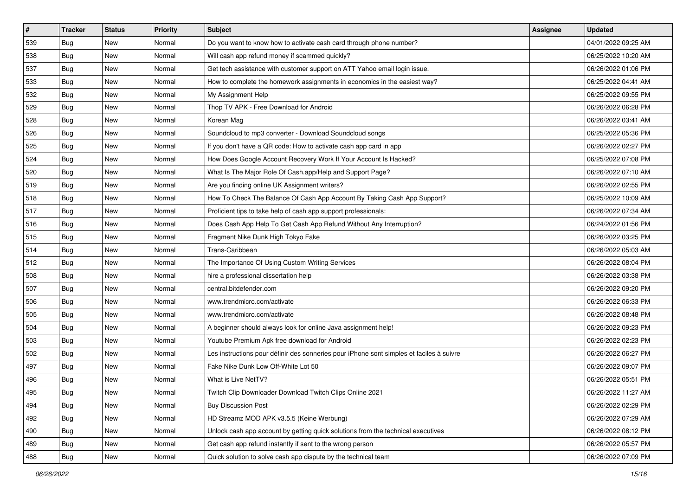| $\vert$ # | <b>Tracker</b> | <b>Status</b> | <b>Priority</b> | Subject                                                                                  | <b>Assignee</b> | <b>Updated</b>      |
|-----------|----------------|---------------|-----------------|------------------------------------------------------------------------------------------|-----------------|---------------------|
| 539       | Bug            | New           | Normal          | Do you want to know how to activate cash card through phone number?                      |                 | 04/01/2022 09:25 AM |
| 538       | Bug            | New           | Normal          | Will cash app refund money if scammed quickly?                                           |                 | 06/25/2022 10:20 AM |
| 537       | <b>Bug</b>     | New           | Normal          | Get tech assistance with customer support on ATT Yahoo email login issue.                |                 | 06/26/2022 01:06 PM |
| 533       | <b>Bug</b>     | New           | Normal          | How to complete the homework assignments in economics in the easiest way?                |                 | 06/25/2022 04:41 AM |
| 532       | <b>Bug</b>     | New           | Normal          | My Assignment Help                                                                       |                 | 06/25/2022 09:55 PM |
| 529       | <b>Bug</b>     | New           | Normal          | Thop TV APK - Free Download for Android                                                  |                 | 06/26/2022 06:28 PM |
| 528       | Bug            | New           | Normal          | Korean Mag                                                                               |                 | 06/26/2022 03:41 AM |
| 526       | <b>Bug</b>     | New           | Normal          | Soundcloud to mp3 converter - Download Soundcloud songs                                  |                 | 06/25/2022 05:36 PM |
| 525       | <b>Bug</b>     | New           | Normal          | If you don't have a QR code: How to activate cash app card in app                        |                 | 06/26/2022 02:27 PM |
| 524       | Bug            | New           | Normal          | How Does Google Account Recovery Work If Your Account Is Hacked?                         |                 | 06/25/2022 07:08 PM |
| 520       | Bug            | New           | Normal          | What Is The Major Role Of Cash.app/Help and Support Page?                                |                 | 06/26/2022 07:10 AM |
| 519       | Bug            | New           | Normal          | Are you finding online UK Assignment writers?                                            |                 | 06/26/2022 02:55 PM |
| 518       | Bug            | New           | Normal          | How To Check The Balance Of Cash App Account By Taking Cash App Support?                 |                 | 06/25/2022 10:09 AM |
| 517       | <b>Bug</b>     | New           | Normal          | Proficient tips to take help of cash app support professionals:                          |                 | 06/26/2022 07:34 AM |
| 516       | <b>Bug</b>     | New           | Normal          | Does Cash App Help To Get Cash App Refund Without Any Interruption?                      |                 | 06/24/2022 01:56 PM |
| 515       | <b>Bug</b>     | New           | Normal          | Fragment Nike Dunk High Tokyo Fake                                                       |                 | 06/26/2022 03:25 PM |
| 514       | <b>Bug</b>     | New           | Normal          | Trans-Caribbean                                                                          |                 | 06/26/2022 05:03 AM |
| 512       | Bug            | New           | Normal          | The Importance Of Using Custom Writing Services                                          |                 | 06/26/2022 08:04 PM |
| 508       | Bug            | New           | Normal          | hire a professional dissertation help                                                    |                 | 06/26/2022 03:38 PM |
| 507       | <b>Bug</b>     | New           | Normal          | central.bitdefender.com                                                                  |                 | 06/26/2022 09:20 PM |
| 506       | Bug            | New           | Normal          | www.trendmicro.com/activate                                                              |                 | 06/26/2022 06:33 PM |
| 505       | <b>Bug</b>     | New           | Normal          | www.trendmicro.com/activate                                                              |                 | 06/26/2022 08:48 PM |
| 504       | Bug            | New           | Normal          | A beginner should always look for online Java assignment help!                           |                 | 06/26/2022 09:23 PM |
| 503       | <b>Bug</b>     | New           | Normal          | Youtube Premium Apk free download for Android                                            |                 | 06/26/2022 02:23 PM |
| 502       | <b>Bug</b>     | New           | Normal          | Les instructions pour définir des sonneries pour iPhone sont simples et faciles à suivre |                 | 06/26/2022 06:27 PM |
| 497       | <b>Bug</b>     | New           | Normal          | Fake Nike Dunk Low Off-White Lot 50                                                      |                 | 06/26/2022 09:07 PM |
| 496       | <b>Bug</b>     | New           | Normal          | What is Live NetTV?                                                                      |                 | 06/26/2022 05:51 PM |
| 495       | Bug            | New           | Normal          | Twitch Clip Downloader Download Twitch Clips Online 2021                                 |                 | 06/26/2022 11:27 AM |
| 494       | Bug            | New           | Normal          | <b>Buy Discussion Post</b>                                                               |                 | 06/26/2022 02:29 PM |
| 492       | Bug            | New           | Normal          | HD Streamz MOD APK v3.5.5 (Keine Werbung)                                                |                 | 06/26/2022 07:29 AM |
| 490       | Bug            | New           | Normal          | Unlock cash app account by getting quick solutions from the technical executives         |                 | 06/26/2022 08:12 PM |
| 489       | Bug            | New           | Normal          | Get cash app refund instantly if sent to the wrong person                                |                 | 06/26/2022 05:57 PM |
| 488       | <b>Bug</b>     | New           | Normal          | Quick solution to solve cash app dispute by the technical team                           |                 | 06/26/2022 07:09 PM |